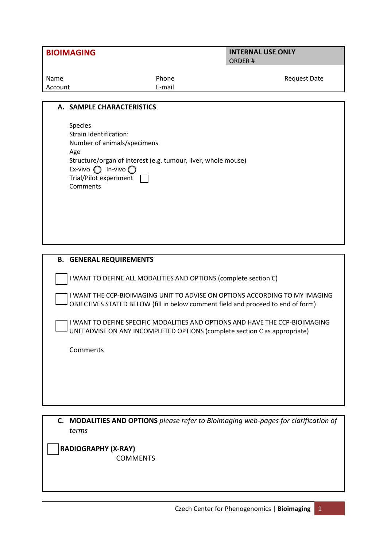|  | <b>BIOIMAGING</b> |  |
|--|-------------------|--|
|  |                   |  |

## **INTERNAL USE ONLY** ORDER #

| Name    | Phone  | <b>Request Date</b> |
|---------|--------|---------------------|
| Account | E-mail |                     |

## **A. SAMPLE CHARACTERISTICS**

**B. GENERAL REQUIREMENTS**

| <b>Species</b>                                                |
|---------------------------------------------------------------|
| Strain Identification:                                        |
| Number of animals/specimens                                   |
| Age                                                           |
| Structure/organ of interest (e.g. tumour, liver, whole mouse) |
| Ex-vivo $\bigcap$ In-vivo $\bigcap$                           |
| Trial/Pilot experiment                                        |
| Comments                                                      |
|                                                               |

## I WANT TO DEFINE ALL MODALITIES AND OPTIONS (complete section C) I WANT THE CCP-BIOIMAGING UNIT TO ADVISE ON OPTIONS ACCORDING TO MY IMAGING OBJECTIVES STATED BELOW (fill in below comment field and proceed to end of form)

I WANT TO DEFINE SPECIFIC MODALITIES AND OPTIONS AND HAVE THE CCP-BIOIMAGING UNIT ADVISE ON ANY INCOMPLETED OPTIONS (complete section C as appropriate)

**Comments** 

**C. MODALITIES AND OPTIONS** *please refer to Bioimaging web-pages for clarification of terms*

 **RADIOGRAPHY (X-RAY)** COMMENTS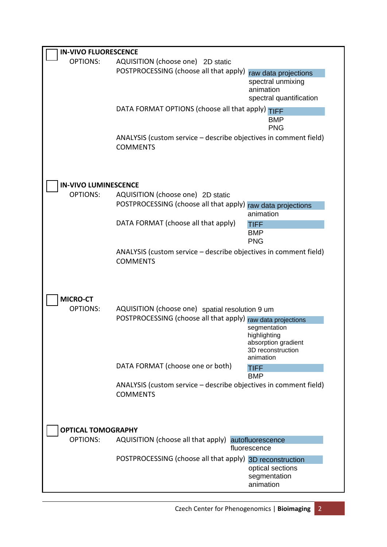| <b>IN-VIVO FLUORESCENCE</b>        |                                                                                                                                |                                                                                   |  |  |  |  |
|------------------------------------|--------------------------------------------------------------------------------------------------------------------------------|-----------------------------------------------------------------------------------|--|--|--|--|
| <b>OPTIONS:</b>                    | AQUISITION (choose one) 2D static<br>POSTPROCESSING (choose all that apply)                                                    | raw data projections<br>spectral unmixing<br>animation<br>spectral quantification |  |  |  |  |
|                                    | DATA FORMAT OPTIONS (choose all that apply) TIFF                                                                               | <b>BMP</b><br><b>PNG</b>                                                          |  |  |  |  |
|                                    | ANALYSIS (custom service – describe objectives in comment field)<br><b>COMMENTS</b>                                            |                                                                                   |  |  |  |  |
| <b>IN-VIVO LUMINESCENCE</b>        |                                                                                                                                |                                                                                   |  |  |  |  |
| <b>OPTIONS:</b>                    | AQUISITION (choose one) 2D static                                                                                              |                                                                                   |  |  |  |  |
|                                    | POSTPROCESSING (choose all that apply) raw data projections                                                                    | animation                                                                         |  |  |  |  |
|                                    | DATA FORMAT (choose all that apply)                                                                                            | <b>TIFF</b>                                                                       |  |  |  |  |
|                                    |                                                                                                                                | <b>BMP</b><br><b>PNG</b>                                                          |  |  |  |  |
|                                    | ANALYSIS (custom service - describe objectives in comment field)<br><b>COMMENTS</b>                                            |                                                                                   |  |  |  |  |
| <b>MICRO-CT</b><br><b>OPTIONS:</b> | AQUISITION (choose one) spatial resolution 9 um<br>POSTPROCESSING (choose all that apply) raw data projections<br>segmentation |                                                                                   |  |  |  |  |
|                                    |                                                                                                                                | highlighting<br>absorption gradient<br>3D reconstruction<br>animation             |  |  |  |  |
|                                    | DATA FORMAT (choose one or both)                                                                                               | <b>TIFF</b><br><b>BMP</b>                                                         |  |  |  |  |
|                                    | ANALYSIS (custom service - describe objectives in comment field)<br><b>COMMENTS</b>                                            |                                                                                   |  |  |  |  |
| <b>OPTICAL TOMOGRAPHY</b>          |                                                                                                                                |                                                                                   |  |  |  |  |
| <b>OPTIONS:</b>                    | AQUISITION (choose all that apply) autofluorescence<br>fluorescence                                                            |                                                                                   |  |  |  |  |
|                                    | POSTPROCESSING (choose all that apply) 3D reconstruction                                                                       | optical sections<br>segmentation<br>animation                                     |  |  |  |  |

Czech Center for Phenogenomics | **Bioimaging** 2